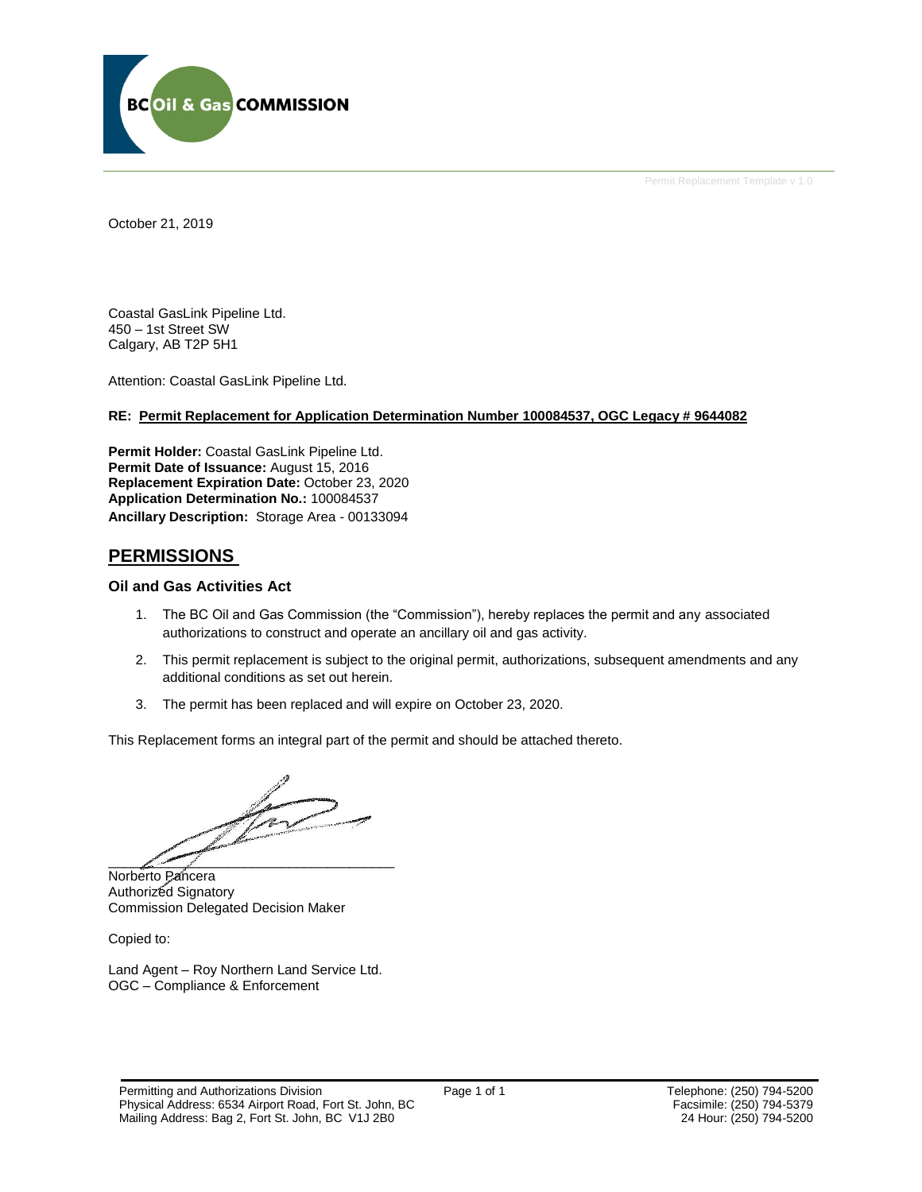

Permit Replacement Template v 1.0

October 21, 2019

Coastal GasLink Pipeline Ltd. 450 – 1st Street SW Calgary, AB T2P 5H1

Attention: Coastal GasLink Pipeline Ltd.

### **RE: Permit Replacement for Application Determination Number 100084537, OGC Legacy # 9644082**

**Permit Holder:** Coastal GasLink Pipeline Ltd. Permit Date of Issuance: August 15, 2016 **Replacement Expiration Date:** October 23, 2020 **Application Determination No.:** 100084537 **Ancillary Description:** Storage Area - 00133094

## **PERMISSIONS**

## **Oil and Gas Activities Act**

- 1. The BC Oil and Gas Commission (the "Commission"), hereby replaces the permit and any associated authorizations to construct and operate an ancillary oil and gas activity.
- 2. This permit replacement is subject to the original permit, authorizations, subsequent amendments and any additional conditions as set out herein.
- 3. The permit has been replaced and will expire on October 23, 2020.

This Replacement forms an integral part of the permit and should be attached thereto.

 $\mathscr{S}$  and  $\mathscr{S}$ 

Norberto Pancera Authorized Signatory Commission Delegated Decision Maker

Copied to:

Land Agent – Roy Northern Land Service Ltd. OGC – Compliance & Enforcement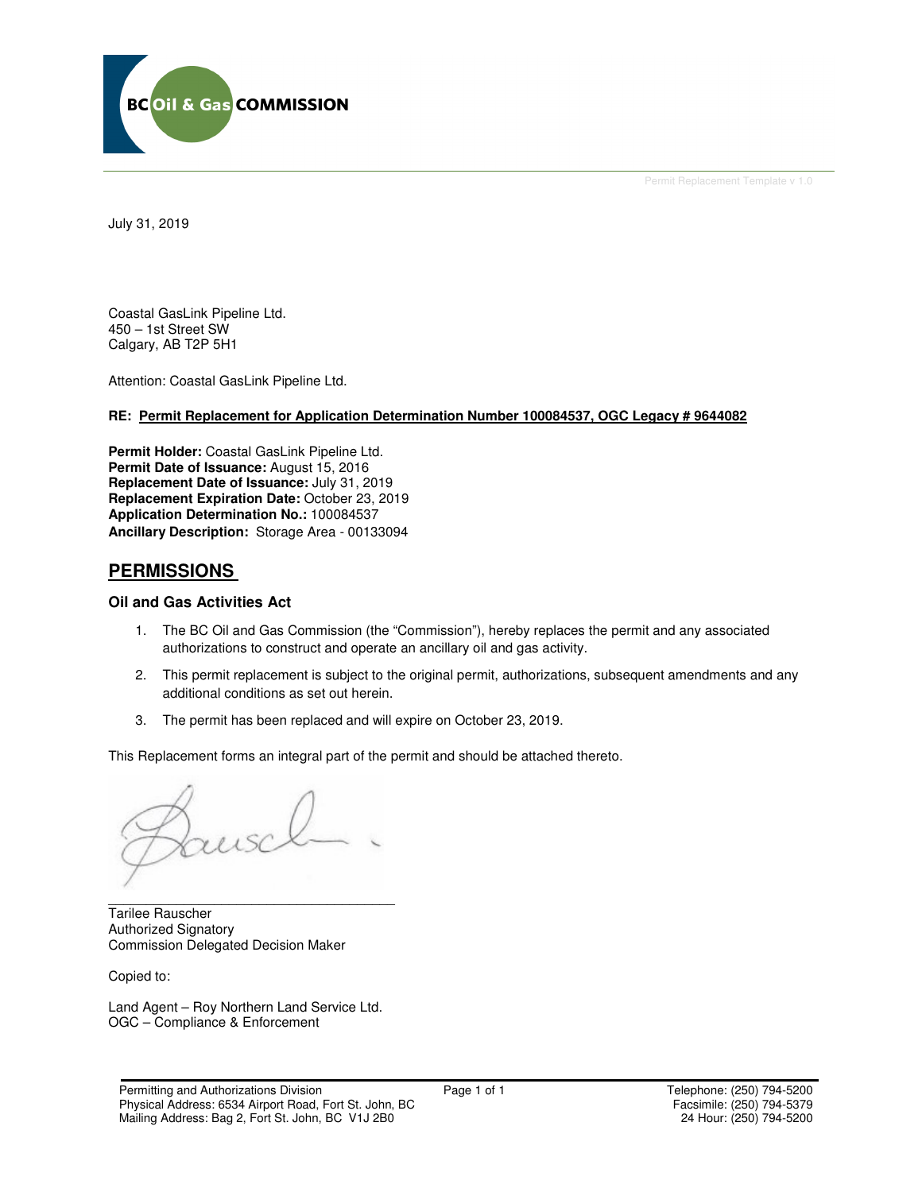

Permit Replacement Template v 1.0

July 31, 2019

Coastal GasLink Pipeline Ltd. 450 – 1st Street SW Calgary, AB T2P 5H1

Attention: Coastal GasLink Pipeline Ltd.

## **RE: Permit Replacement for Application Determination Number 100084537, OGC Legacy # 9644082**

**Permit Holder:** Coastal GasLink Pipeline Ltd. Permit Date of Issuance: August 15, 2016 **Replacement Date of Issuance:** July 31, 2019 **Replacement Expiration Date:** October 23, 2019 **Application Determination No.:** 100084537 **Ancillary Description:** Storage Area - 00133094

## **PERMISSIONS**

## **Oil and Gas Activities Act**

- 1. The BC Oil and Gas Commission (the "Commission"), hereby replaces the permit and any associated authorizations to construct and operate an ancillary oil and gas activity.
- 2. This permit replacement is subject to the original permit, authorizations, subsequent amendments and any additional conditions as set out herein.
- 3. The permit has been replaced and will expire on October 23, 2019.

This Replacement forms an integral part of the permit and should be attached thereto.

\_\_\_\_\_\_\_\_\_\_\_\_\_\_\_\_\_\_\_\_\_\_\_\_\_\_\_\_\_\_\_\_\_\_\_\_\_\_ Tarilee Rauscher Authorized Signatory Commission Delegated Decision Maker

Copied to:

Land Agent – Roy Northern Land Service Ltd. OGC – Compliance & Enforcement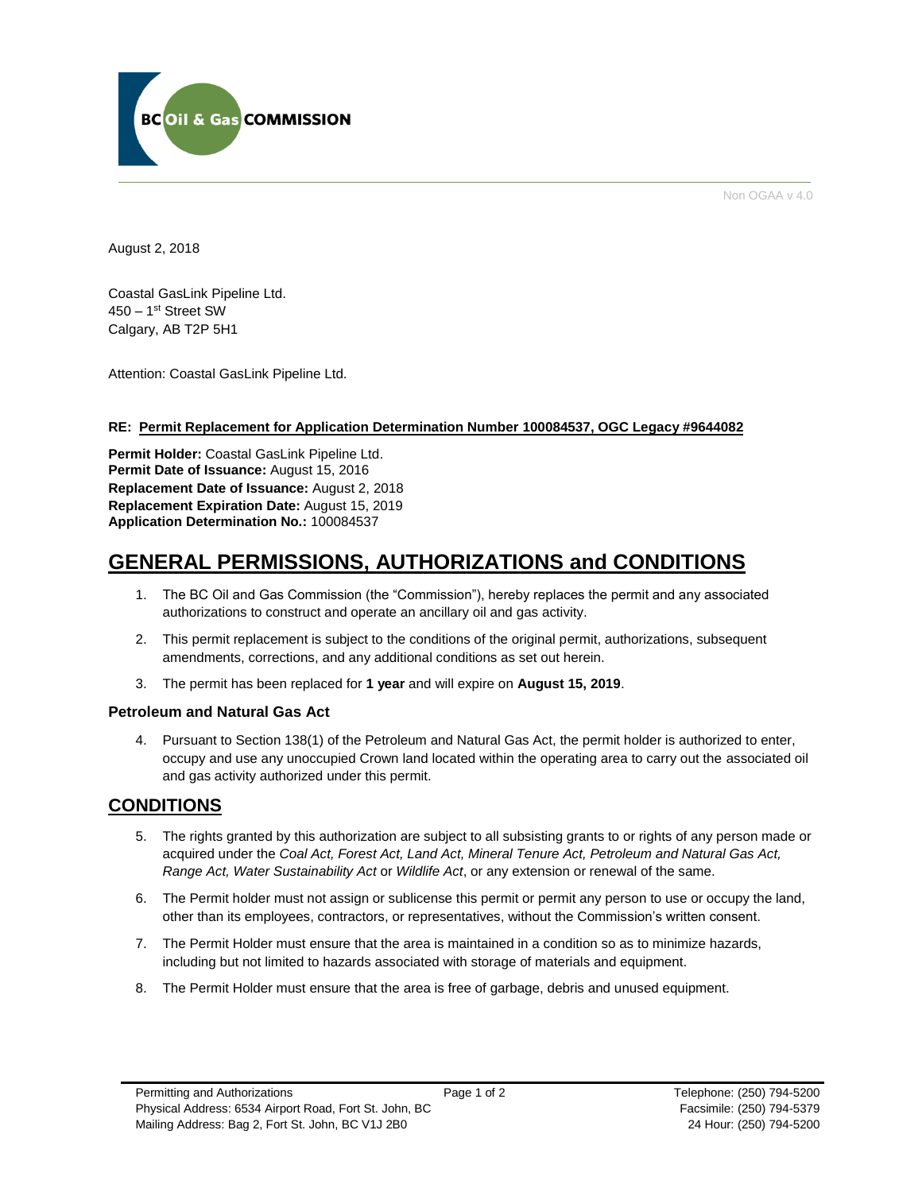

Non OGAA v 4.0

August 2, 2018

Coastal GasLink Pipeline Ltd. 450 – 1st Street SW Calgary, AB T2P 5H1

Attention: Coastal GasLink Pipeline Ltd.

## **RE: Permit Replacement for Application Determination Number 100084537, OGC Legacy #9644082**

**Permit Holder:** Coastal GasLink Pipeline Ltd. Permit Date of Issuance: August 15, 2016 **Replacement Date of Issuance:** August 2, 2018 **Replacement Expiration Date:** August 15, 2019 **Application Determination No.:** 100084537

# **GENERAL PERMISSIONS, AUTHORIZATIONS and CONDITIONS**

- 1. The BC Oil and Gas Commission (the "Commission"), hereby replaces the permit and any associated authorizations to construct and operate an ancillary oil and gas activity.
- 2. This permit replacement is subject to the conditions of the original permit, authorizations, subsequent amendments, corrections, and any additional conditions as set out herein.
- 3. The permit has been replaced for **1 year** and will expire on **August 15, 2019**.

## **Petroleum and Natural Gas Act**

4. Pursuant to Section 138(1) of the Petroleum and Natural Gas Act, the permit holder is authorized to enter, occupy and use any unoccupied Crown land located within the operating area to carry out the associated oil and gas activity authorized under this permit.

# **CONDITIONS**

- 5. The rights granted by this authorization are subject to all subsisting grants to or rights of any person made or acquired under the *Coal Act, Forest Act, Land Act, Mineral Tenure Act, Petroleum and Natural Gas Act, Range Act, Water Sustainability Act* or *Wildlife Act*, or any extension or renewal of the same.
- 6. The Permit holder must not assign or sublicense this permit or permit any person to use or occupy the land, other than its employees, contractors, or representatives, without the Commission's written consent.
- 7. The Permit Holder must ensure that the area is maintained in a condition so as to minimize hazards, including but not limited to hazards associated with storage of materials and equipment.
- 8. The Permit Holder must ensure that the area is free of garbage, debris and unused equipment.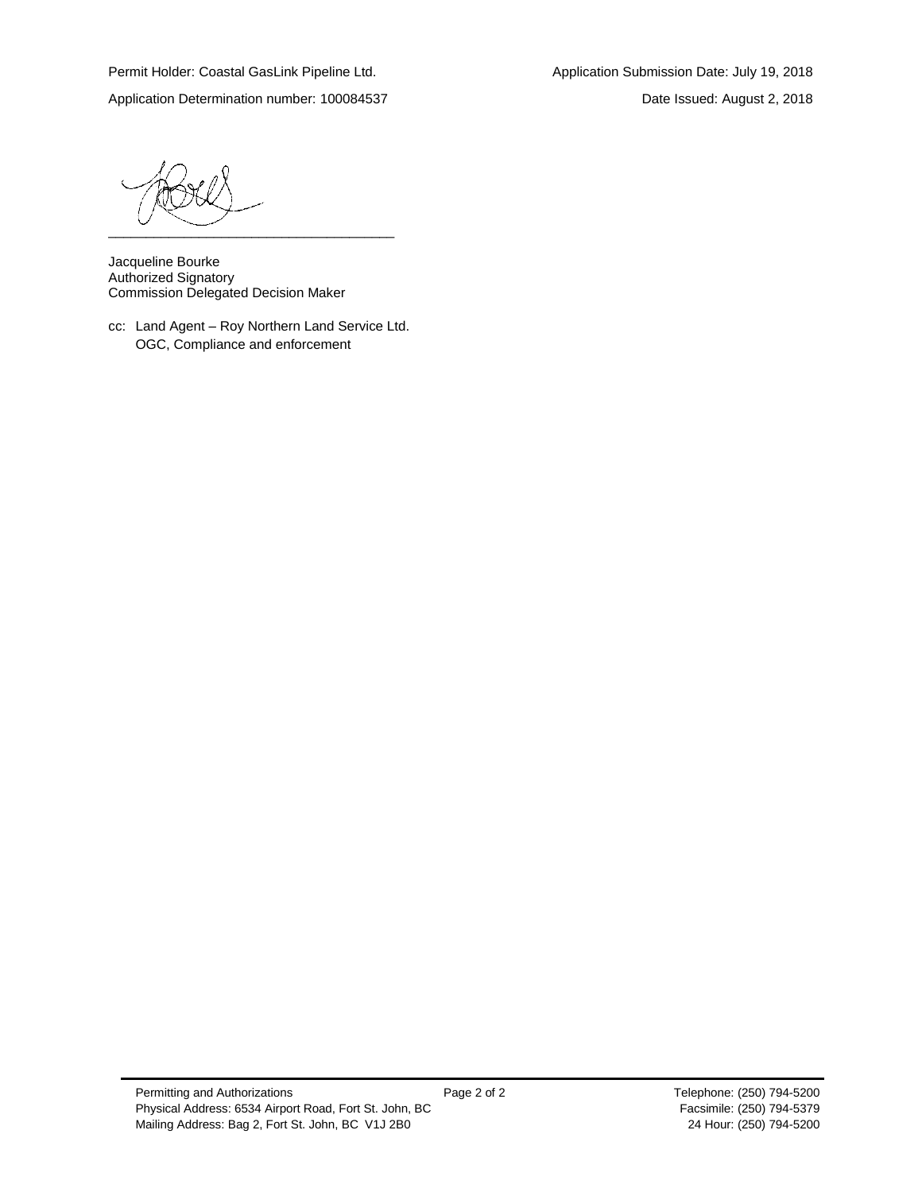Application Determination number: 100084537 Date Issued: August 2, 2018

\_\_\_\_\_\_\_\_\_\_\_\_\_\_\_\_\_\_\_\_\_\_\_\_\_\_\_\_\_\_\_\_\_\_\_\_\_\_

Jacqueline Bourke Authorized Signatory Commission Delegated Decision Maker

cc: Land Agent – Roy Northern Land Service Ltd. OGC, Compliance and enforcement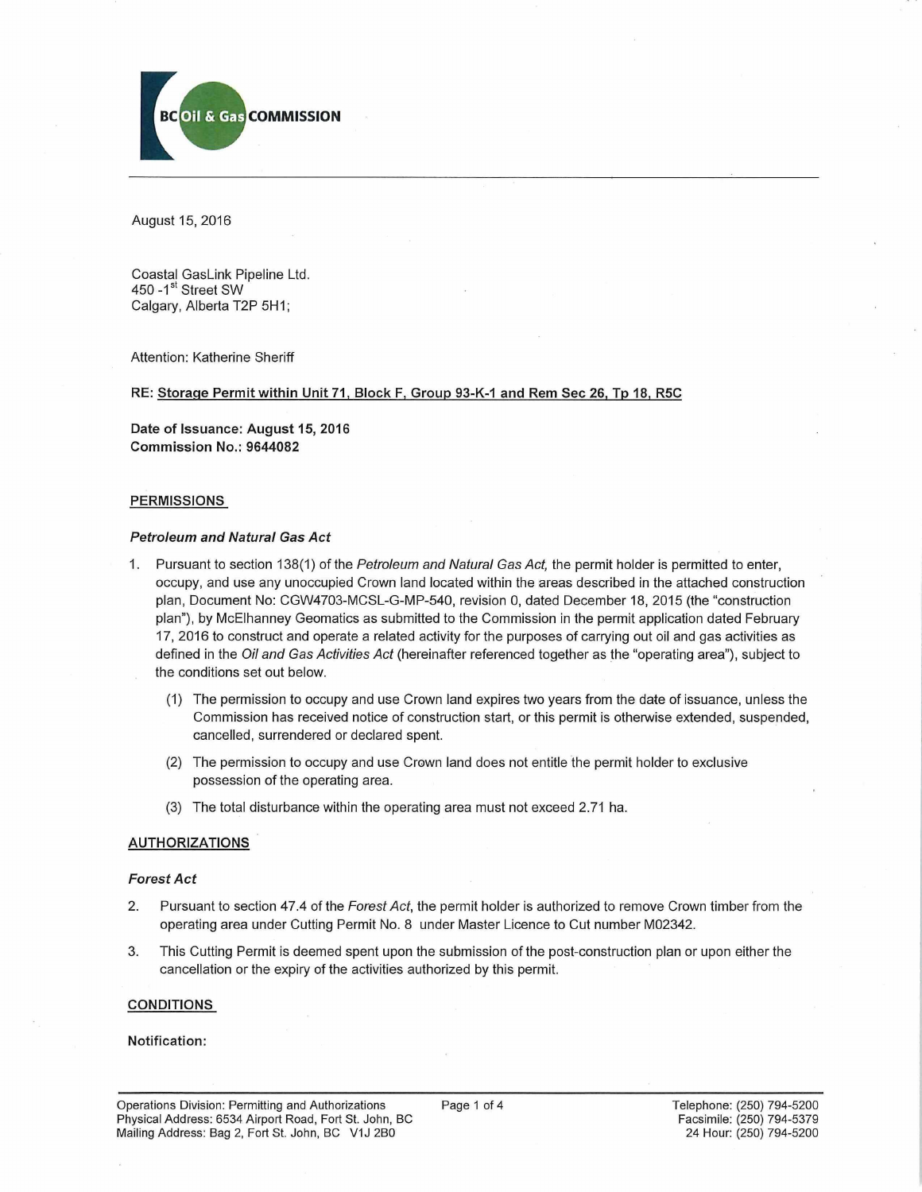

August 15, 2016

Coastal GasLink Pipeline Ltd. 450 - 1<sup>st</sup> Street SW Calgary, Alberta T2P 5H1;

Attention: Katherine Sheriff

#### RE: Storage Permit within Unit 71, Block F, Group 93-K-1 and Rem Sec 26, Tp 18, R5C

Date of Issuance: August 15, 2016 Commission No.: 9644082

#### PERMISSIONS

#### *Petroleum and Natural Gas Act*

- 1. Pursuant to section 138(1) of the *Petroleum and Natural Gas Act,* the permit holder is permitted to enter, occupy, and use any unoccupied Crown land located within the areas described in the attached construction plan, Document No: CGW4703-MCSL-G-MP-540, revision 0, dated December 18, 2015 (the "construction plan"), by McElhanney Geomatics as submitted to the Commission in the permit application dated February 17, 2016 to construct and operate a related activity for the purposes of carrying out oil and gas activities as defined in the *Oil and Gas Activities Act* (hereinafter referenced together as the "operating area"), subject to the conditions set out below.
	- (1) The permission to occupy and use Crown land expires two years from the date of issuance, unless the Commission has received notice of construction start, or this permit is otherwise extended, suspended, cancelled, surrendered or declared spent.
	- (2) The permission to occupy and use Crown land does not entitle the permit holder to exclusive possession of the operating area.
	- (3) The total disturbance within the operating area must not exceed 2.71 ha.

#### AUTHORIZATIONS

#### *Forest Act*

- 2. Pursuant to section 47.4 of the *Forest Act,* the permit holder is authorized to remove Crown timber from the operating area under Cutting Permit No. 8 under Master Licence to Cut number M02342.
- 3. This Cutting Permit is deemed spent upon the submission of the post-construction plan or upon either the cancellation or the expiry of the activities authorized by this permit.

#### CONDITIONS

#### Notification: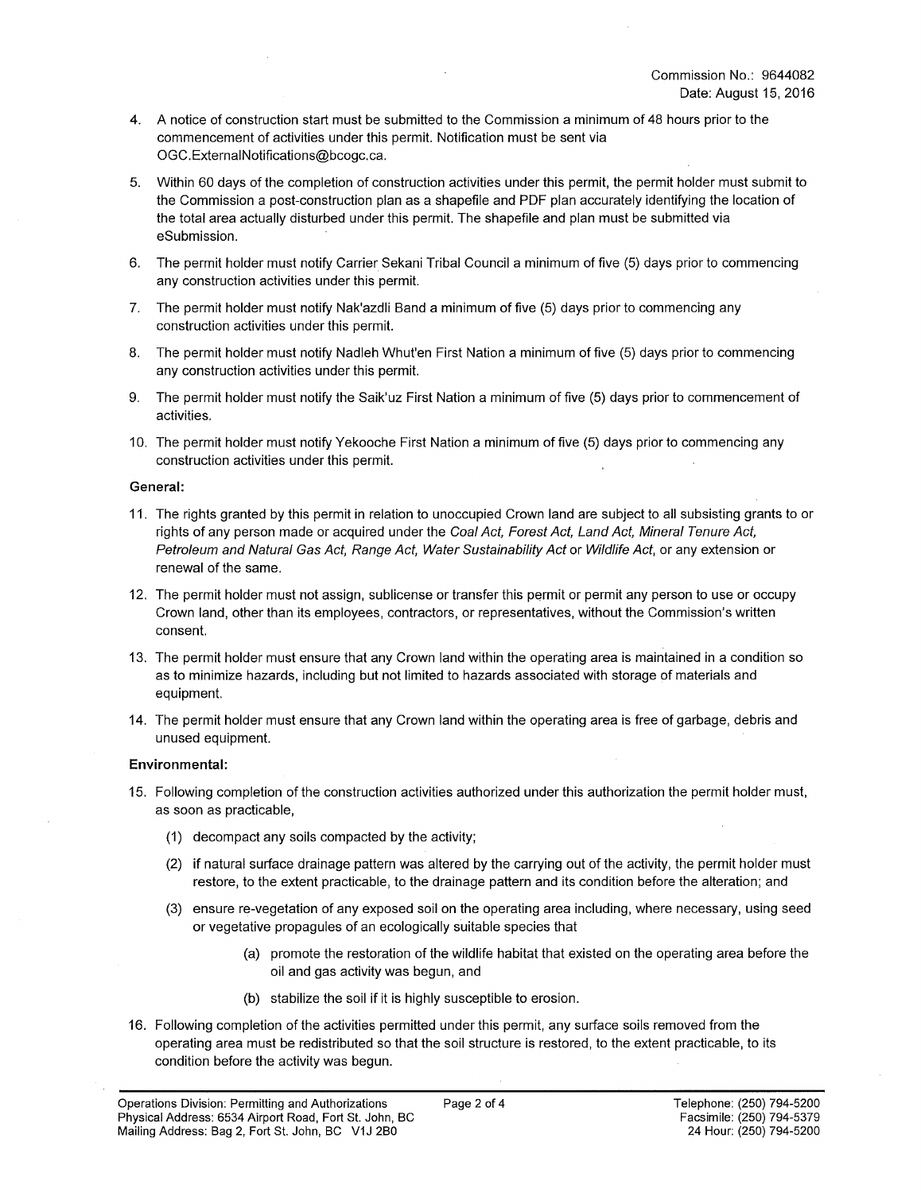- 4. A notice of construction start must be submitted to the Commission a minimum of 48 hours prior to the commencement of activities under this permit. Notification must be sent via [OGC.ExternalNotifications@bcogc.ca](mailto:OGC.ExternalNotifications@bcogc.ca).
- 5. Within 60 days of the completion of construction activities under this permit, the permit holder must submit to the Commission a post-construction plan as a shapefile and PDF plan accurately identifying the location of the total area actually disturbed under this permit. The shapefile and plan must be submitted via eSubmission.
- 6. The permit holder must notify Carrier Sekani Tribal Council a minimum of five (5) days prior to commencing any construction activities under this permit.
- 7. The permit holder must notify Nak'azdli Band a minimum of five (5) days prior to commencing any construction activities under this permit.
- 8. The permit holder must notify Nadleh Whut'en First Nation a minimum of five (5) days prior to commencing any construction activities under this permit.
- 9. The permit holder must notify the Saik'uz First Nation a minimum of five (5) days prior to commencement of activities.
- 10. The permit holder must notify Yekooche First Nation a minimum of five (5) days prior to commencing any construction activities under this permit.

#### **General:**

- 11. The rights granted by this permit in relation to unoccupied Crown land are subject to all subsisting grants to or rights of any person made or acquired under the *Coal Act, Forest Act, Land Act, Mineral Tenure Act, Petroleum and Natural Gas Act, Range Act, Water Sustainability Act* or *Wildlife Act,* or any extension or renewal of the same.
- 12. The permit holder must not assign, sublicense or transfer this permit or permit any person to use or occupy Crown land, other than its employees, contractors, or representatives, without the Commission's written consent.
- 13. The permit holder must ensure that any Crown land within the operating area is maintained in a condition so as to minimize hazards, including but not limited to hazards associated with storage of materials and equipment.
- 14. The permit holder must ensure that any Crown land within the operating area is free of garbage, debris and unused equipment.

#### **Environmental:**

- 15. Following completion of the construction activities authorized under this authorization the permit holder must, as soon as practicable,
	- (1) decompact any soils compacted by the activity;
	- (2) if natural surface drainage pattern was altered by the carrying out of the activity, the permit holder must restore, to the extent practicable, to the drainage pattern and its condition before the alteration; and
	- (3) ensure re-vegetation of any exposed soil on the operating area including, where necessary, using seed or vegetative propagules of an ecologically suitable species that
		- (a) promote the restoration of the wildlife habitat that existed on the operating area before the oil and gas activity was begun, and
		- (b) stabilize the soil if it is highly susceptible to erosion.
- 16. Following completion of the activities permitted under this permit, any surface soils removed from the operating area must be redistributed so that the soil structure is restored, to the extent practicable, to its condition before the activity was begun.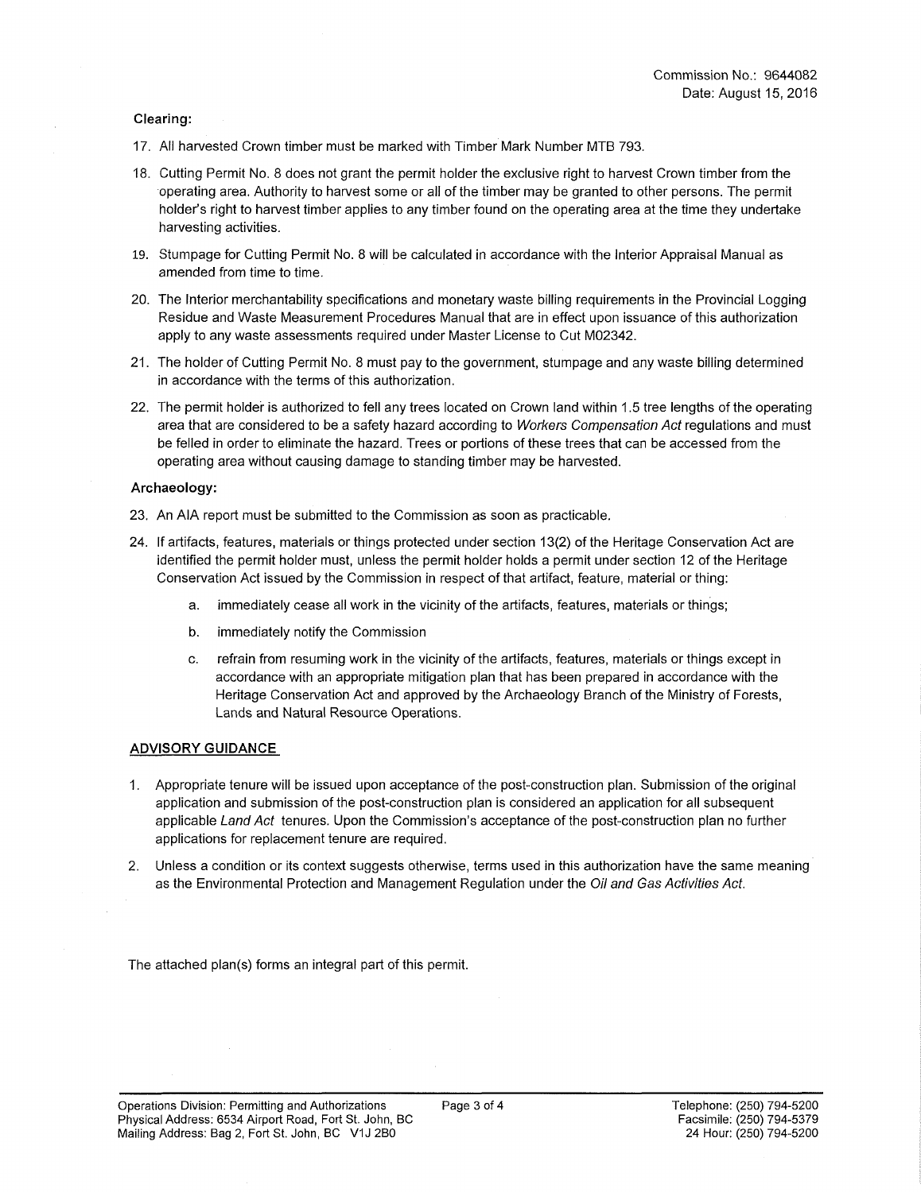#### **Clearing:**

- 17. All harvested Crown timber must be marked with Timber Mark Number MTB 793.
- 18. Cutting Permit No. 8 does not grant the permit holder the exclusive right to harvest Crown timber from the operating area. Authority to harvest some or all of the timber may be granted to other persons. The permit holder's right to harvest timber applies to any timber found on the operating area at the time they undertake harvesting activities.
- 19. Stumpage for Cutting Permit No. 8 will be calculated in accordance with the Interior Appraisal Manual as amended from time to time.
- 20. The Interior merchantability specifications and monetary waste billing requirements in the Provincial Logging Residue and Waste Measurement Procedures Manual that are in effect upon issuance of this authorization apply to any waste assessments required under Master License to Cut M02342.
- 21. The holder of Cutting Permit No. 8 must pay to the government, stumpage and any waste billing determined in accordance with the terms of this authorization.
- 22. The permit holder is authorized to fell any trees located on Crown land within 1.5 tree lengths of the operating area that are considered to be a safety hazard according to *Workers Compensation Act* regulations and must be felled in order to eliminate the hazard. Trees or portions of these trees that can be accessed from the operating area without causing damage to standing timber may be harvested.

#### **Archaeology:**

- 23. An AIA report must be submitted to the Commission as soon as practicable.
- 24. If artifacts, features, materials or things protected under section 13(2) of the Heritage Conservation Act are identified the permit holder must, unless the permit holder holds a permit under section 12 of the Heritage Conservation Act issued by the Commission in respect of that artifact, feature, material or thing:
	- a. immediately cease all work in the vicinity of the artifacts, features, materials or things;
	- b. immediately notify the Commission
	- c. refrain from resuming work in the vicinity of the artifacts, features, materials or things except in accordance with an appropriate mitigation plan that has been prepared in accordance with the Heritage Conservation Act and approved by the Archaeology Branch of the Ministry of Forests, Lands and Natural Resource Operations.

#### **ADVISORY GUIDANCE**

- 1. Appropriate tenure will be issued upon acceptance of the post-construction plan. Submission of the original application and submission of the post-construction plan is considered an application for all subsequent applicable *Land Act* tenures. Upon the Commission's acceptance of the post-construction plan no further applications for replacement tenure are required.
- 2. Unless a condition or its context suggests otherwise, terms used in this authorization have the same meaning as the Environmental Protection and Management Regulation under the *Oil and Gas Activities Act.*

The attached plan(s) forms an integral part of this permit.